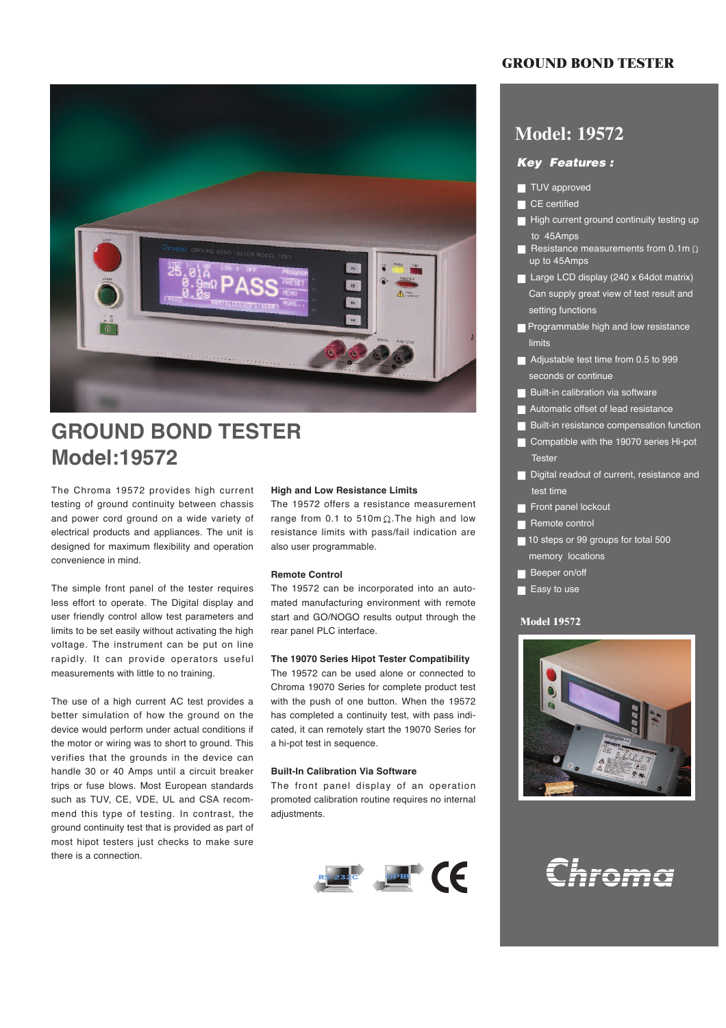

# **GROUND BOND TESTER Model:19572**

The Chroma 19572 provides high current testing of ground continuity between chassis and power cord ground on a wide variety of electrical products and appliances. The unit is designed for maximum flexibility and operation convenience in mind.

The simple front panel of the tester requires less effort to operate. The Digital display and user friendly control allow test parameters and limits to be set easily without activating the high voltage. The instrument can be put on line rapidly. It can provide operators useful measurements with little to no training.

The use of a high current AC test provides a better simulation of how the ground on the device would perform under actual conditions if the motor or wiring was to short to ground. This verifies that the grounds in the device can handle 30 or 40 Amps until a circuit breaker trips or fuse blows. Most European standards such as TUV, CE, VDE, UL and CSA recommend this type of testing. In contrast, the ground continuity test that is provided as part of most hipot testers just checks to make sure there is a connection.

#### **High and Low Resistance Limits**

The 19572 offers a resistance measurement range from 0.1 to 510m $\Omega$ . The high and low resistance limits with pass/fail indication are also user programmable.

#### **Remote Control**

The 19572 can be incorporated into an automated manufacturing environment with remote start and GO/NOGO results output through the rear panel PLC interface.

#### **The 19070 Series Hipot Tester Compatibility**

The 19572 can be used alone or connected to Chroma 19070 Series for complete product test with the push of one button. When the 19572 has completed a continuity test, with pass indicated, it can remotely start the 19070 Series for a hi-pot test in sequence.

#### **Built-In Calibration Via Software**

The front panel display of an operation promoted calibration routine requires no internal adjustments.



# **GROUND BOND TESTER**

# **Model: 19572**

# *Key Features :*

- TUV approved
- CE certified
- High current ground continuity testing up to 45Amps
- Resistance measurements from 0.1m  $\Omega$ up to 45Amps
- Large LCD display (240 x 64dot matrix) Can supply great view of test result and setting functions
- **Programmable high and low resistance** limits
- Adjustable test time from 0.5 to 999 seconds or continue
- **Built-in calibration via software**
- Automatic offset of lead resistance
- **Built-in resistance compensation function**
- Compatible with the 19070 series Hi-pot Tester
- Digital readout of current, resistance and test time
- Front panel lockout
- Remote control
- 10 steps or 99 groups for total 500 memory locations
- **Beeper on/off**
- Easy to use

#### **Model 19572**